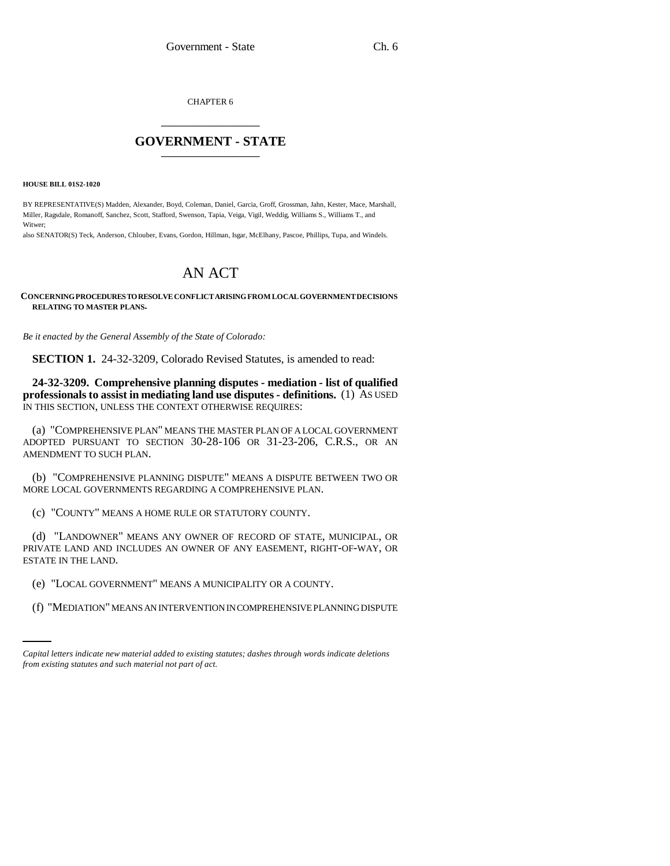CHAPTER 6 \_\_\_\_\_\_\_\_\_\_\_\_\_\_\_

## **GOVERNMENT - STATE** \_\_\_\_\_\_\_\_\_\_\_\_\_\_\_

**HOUSE BILL 01S2-1020**

BY REPRESENTATIVE(S) Madden, Alexander, Boyd, Coleman, Daniel, Garcia, Groff, Grossman, Jahn, Kester, Mace, Marshall, Miller, Ragsdale, Romanoff, Sanchez, Scott, Stafford, Swenson, Tapia, Veiga, Vigil, Weddig, Williams S., Williams T., and Witwer;

also SENATOR(S) Teck, Anderson, Chlouber, Evans, Gordon, Hillman, Isgar, McElhany, Pascoe, Phillips, Tupa, and Windels.

## AN ACT

## **CONCERNING PROCEDURES TO RESOLVE CONFLICT ARISING FROM LOCAL GOVERNMENT DECISIONS RELATING TO MASTER PLANS.**

*Be it enacted by the General Assembly of the State of Colorado:*

**SECTION 1.** 24-32-3209, Colorado Revised Statutes, is amended to read:

**24-32-3209. Comprehensive planning disputes - mediation - list of qualified professionals to assist in mediating land use disputes - definitions.** (1) AS USED IN THIS SECTION, UNLESS THE CONTEXT OTHERWISE REQUIRES:

(a) "COMPREHENSIVE PLAN" MEANS THE MASTER PLAN OF A LOCAL GOVERNMENT ADOPTED PURSUANT TO SECTION 30-28-106 OR 31-23-206, C.R.S., OR AN AMENDMENT TO SUCH PLAN.

(b) "COMPREHENSIVE PLANNING DISPUTE" MEANS A DISPUTE BETWEEN TWO OR MORE LOCAL GOVERNMENTS REGARDING A COMPREHENSIVE PLAN.

(c) "COUNTY" MEANS A HOME RULE OR STATUTORY COUNTY.

(d) "LANDOWNER" MEANS ANY OWNER OF RECORD OF STATE, MUNICIPAL, OR PRIVATE LAND AND INCLUDES AN OWNER OF ANY EASEMENT, RIGHT-OF-WAY, OR ESTATE IN THE LAND.

(e) "LOCAL GOVERNMENT" MEANS A MUNICIPALITY OR A COUNTY.

(f) "MEDIATION" MEANS AN INTERVENTION IN COMPREHENSIVE PLANNING DISPUTE

*Capital letters indicate new material added to existing statutes; dashes through words indicate deletions from existing statutes and such material not part of act.*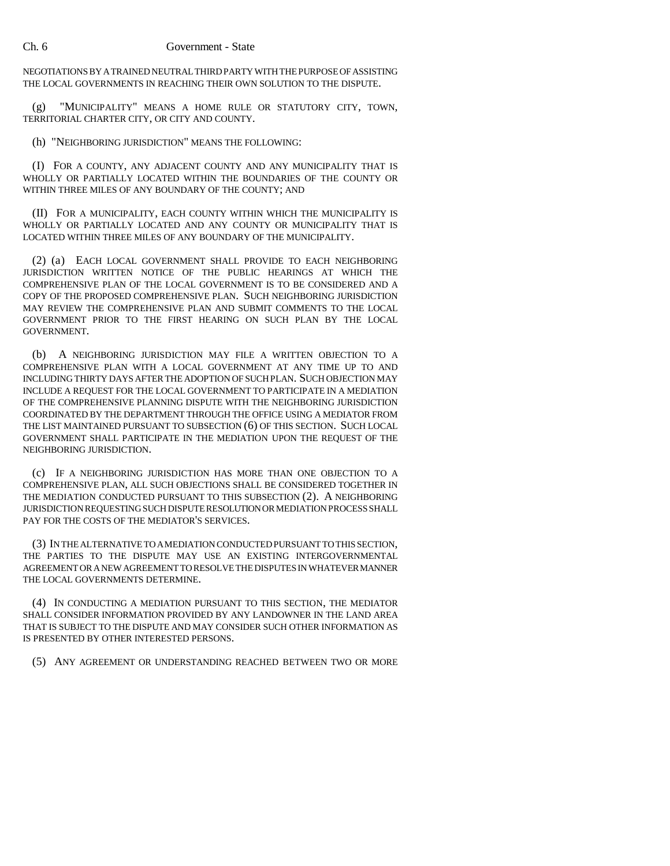NEGOTIATIONS BY A TRAINED NEUTRAL THIRD PARTY WITH THE PURPOSE OF ASSISTING THE LOCAL GOVERNMENTS IN REACHING THEIR OWN SOLUTION TO THE DISPUTE.

(g) "MUNICIPALITY" MEANS A HOME RULE OR STATUTORY CITY, TOWN, TERRITORIAL CHARTER CITY, OR CITY AND COUNTY.

(h) "NEIGHBORING JURISDICTION" MEANS THE FOLLOWING:

(I) FOR A COUNTY, ANY ADJACENT COUNTY AND ANY MUNICIPALITY THAT IS WHOLLY OR PARTIALLY LOCATED WITHIN THE BOUNDARIES OF THE COUNTY OR WITHIN THREE MILES OF ANY BOUNDARY OF THE COUNTY; AND

(II) FOR A MUNICIPALITY, EACH COUNTY WITHIN WHICH THE MUNICIPALITY IS WHOLLY OR PARTIALLY LOCATED AND ANY COUNTY OR MUNICIPALITY THAT IS LOCATED WITHIN THREE MILES OF ANY BOUNDARY OF THE MUNICIPALITY.

(2) (a) EACH LOCAL GOVERNMENT SHALL PROVIDE TO EACH NEIGHBORING JURISDICTION WRITTEN NOTICE OF THE PUBLIC HEARINGS AT WHICH THE COMPREHENSIVE PLAN OF THE LOCAL GOVERNMENT IS TO BE CONSIDERED AND A COPY OF THE PROPOSED COMPREHENSIVE PLAN. SUCH NEIGHBORING JURISDICTION MAY REVIEW THE COMPREHENSIVE PLAN AND SUBMIT COMMENTS TO THE LOCAL GOVERNMENT PRIOR TO THE FIRST HEARING ON SUCH PLAN BY THE LOCAL GOVERNMENT.

(b) A NEIGHBORING JURISDICTION MAY FILE A WRITTEN OBJECTION TO A COMPREHENSIVE PLAN WITH A LOCAL GOVERNMENT AT ANY TIME UP TO AND INCLUDING THIRTY DAYS AFTER THE ADOPTION OF SUCH PLAN. SUCH OBJECTION MAY INCLUDE A REQUEST FOR THE LOCAL GOVERNMENT TO PARTICIPATE IN A MEDIATION OF THE COMPREHENSIVE PLANNING DISPUTE WITH THE NEIGHBORING JURISDICTION COORDINATED BY THE DEPARTMENT THROUGH THE OFFICE USING A MEDIATOR FROM THE LIST MAINTAINED PURSUANT TO SUBSECTION (6) OF THIS SECTION. SUCH LOCAL GOVERNMENT SHALL PARTICIPATE IN THE MEDIATION UPON THE REQUEST OF THE NEIGHBORING JURISDICTION.

(c) IF A NEIGHBORING JURISDICTION HAS MORE THAN ONE OBJECTION TO A COMPREHENSIVE PLAN, ALL SUCH OBJECTIONS SHALL BE CONSIDERED TOGETHER IN THE MEDIATION CONDUCTED PURSUANT TO THIS SUBSECTION (2). A NEIGHBORING JURISDICTION REQUESTING SUCH DISPUTE RESOLUTION OR MEDIATION PROCESS SHALL PAY FOR THE COSTS OF THE MEDIATOR'S SERVICES.

(3) IN THE ALTERNATIVE TO A MEDIATION CONDUCTED PURSUANT TO THIS SECTION, THE PARTIES TO THE DISPUTE MAY USE AN EXISTING INTERGOVERNMENTAL AGREEMENT OR A NEW AGREEMENT TO RESOLVE THE DISPUTES IN WHATEVER MANNER THE LOCAL GOVERNMENTS DETERMINE.

(4) IN CONDUCTING A MEDIATION PURSUANT TO THIS SECTION, THE MEDIATOR SHALL CONSIDER INFORMATION PROVIDED BY ANY LANDOWNER IN THE LAND AREA THAT IS SUBJECT TO THE DISPUTE AND MAY CONSIDER SUCH OTHER INFORMATION AS IS PRESENTED BY OTHER INTERESTED PERSONS.

(5) ANY AGREEMENT OR UNDERSTANDING REACHED BETWEEN TWO OR MORE